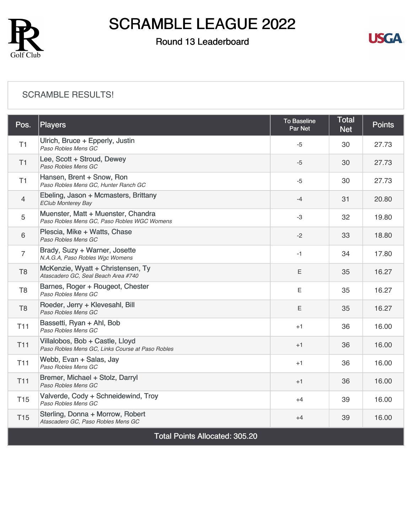

### Round 13 Leaderboard



#### [SCRAMBLE RESULTS!](https://static.golfgenius.com/v2tournaments/8509279983217196772?called_from=&round_index=13)

| Pos.                                  | <b>Players</b>                                                                      | To Baseline<br>Par Net | <b>Total</b><br><b>Net</b> | <b>Points</b> |  |
|---------------------------------------|-------------------------------------------------------------------------------------|------------------------|----------------------------|---------------|--|
| T1                                    | Ulrich, Bruce + Epperly, Justin<br>Paso Robles Mens GC                              | $-5$                   | 30                         | 27.73         |  |
| T1                                    | Lee, Scott + Stroud, Dewey<br>Paso Robles Mens GC                                   | $-5$                   | 30                         | 27.73         |  |
| T1                                    | Hansen, Brent + Snow, Ron<br>Paso Robles Mens GC, Hunter Ranch GC                   | $-5$                   | 30                         | 27.73         |  |
| $\overline{4}$                        | Ebeling, Jason + Mcmasters, Brittany<br><b>EClub Monterey Bay</b>                   | $-4$                   | 31                         | 20.80         |  |
| 5                                     | Muenster, Matt + Muenster, Chandra<br>Paso Robles Mens GC, Paso Robles WGC Womens   | $-3$                   | 32                         | 19.80         |  |
| 6                                     | Plescia, Mike + Watts, Chase<br>Paso Robles Mens GC                                 | $-2$                   | 33                         | 18.80         |  |
| $\overline{7}$                        | Brady, Suzy + Warner, Josette<br>N.A.G.A, Paso Robles Wgc Womens                    | $-1$                   | 34                         | 17.80         |  |
| T <sub>8</sub>                        | McKenzie, Wyatt + Christensen, Ty<br>Atascadero GC, Seal Beach Area #740            | E                      | 35                         | 16.27         |  |
| T <sub>8</sub>                        | Barnes, Roger + Rougeot, Chester<br>Paso Robles Mens GC                             | E                      | 35                         | 16.27         |  |
| T <sub>8</sub>                        | Roeder, Jerry + Klevesahl, Bill<br>Paso Robles Mens GC                              | Ε                      | 35                         | 16.27         |  |
| T <sub>11</sub>                       | Bassetti, Ryan + Ahl, Bob<br>Paso Robles Mens GC                                    | $+1$                   | 36                         | 16.00         |  |
| <b>T11</b>                            | Villalobos, Bob + Castle, Lloyd<br>Paso Robles Mens GC, Links Course at Paso Robles | $+1$                   | 36                         | 16.00         |  |
| <b>T11</b>                            | Webb, Evan + Salas, Jay<br>Paso Robles Mens GC                                      | $+1$                   | 36                         | 16.00         |  |
| <b>T11</b>                            | Bremer, Michael + Stolz, Darryl<br>Paso Robles Mens GC                              | $+1$                   | 36                         | 16.00         |  |
| T <sub>15</sub>                       | Valverde, Cody + Schneidewind, Troy<br>Paso Robles Mens GC                          | $+4$                   | 39                         | 16.00         |  |
| <b>T15</b>                            | Sterling, Donna + Morrow, Robert<br>Atascadero GC, Paso Robles Mens GC              | $+4$                   | 39                         | 16.00         |  |
| <b>Total Points Allocated: 305.20</b> |                                                                                     |                        |                            |               |  |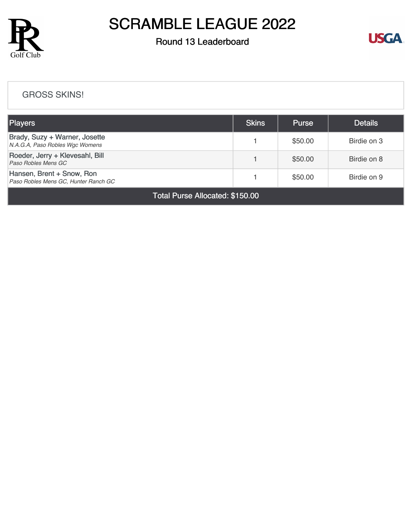

### Round 13 Leaderboard



#### [GROSS SKINS!](https://static.golfgenius.com/v2tournaments/8509281137825201893?called_from=&round_index=13)

| <b>Players</b>                                                    | <b>Skins</b> | <b>Purse</b> | <b>Details</b> |  |  |
|-------------------------------------------------------------------|--------------|--------------|----------------|--|--|
| Brady, Suzy + Warner, Josette<br>N.A.G.A, Paso Robles Wgc Womens  |              | \$50.00      | Birdie on 3    |  |  |
| Roeder, Jerry + Klevesahl, Bill<br>Paso Robles Mens GC            |              | \$50.00      | Birdie on 8    |  |  |
| Hansen, Brent + Snow, Ron<br>Paso Robles Mens GC, Hunter Ranch GC |              | \$50.00      | Birdie on 9    |  |  |
| Total Purse Allocated: \$150.00                                   |              |              |                |  |  |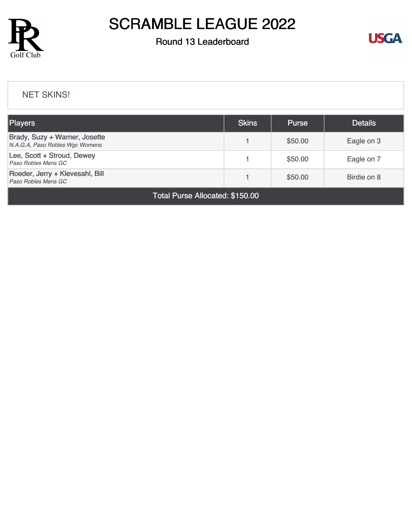

### Round 13 Leaderboard



#### [NET SKINS!](https://static.golfgenius.com/v2tournaments/8509284223658540774?called_from=&round_index=13)

| <b>Players</b>                                                   | <b>Skins</b> | <b>Purse</b> | <b>Details</b> |  |  |
|------------------------------------------------------------------|--------------|--------------|----------------|--|--|
| Brady, Suzy + Warner, Josette<br>N.A.G.A, Paso Robles Wgc Womens |              | \$50.00      | Eagle on 3     |  |  |
| Lee, Scott + Stroud, Dewey<br>Paso Robles Mens GC                |              | \$50.00      | Eagle on 7     |  |  |
| Roeder, Jerry + Klevesahl, Bill<br>Paso Robles Mens GC           |              | \$50.00      | Birdie on 8    |  |  |
| <b>Total Purse Allocated: \$150.00</b>                           |              |              |                |  |  |